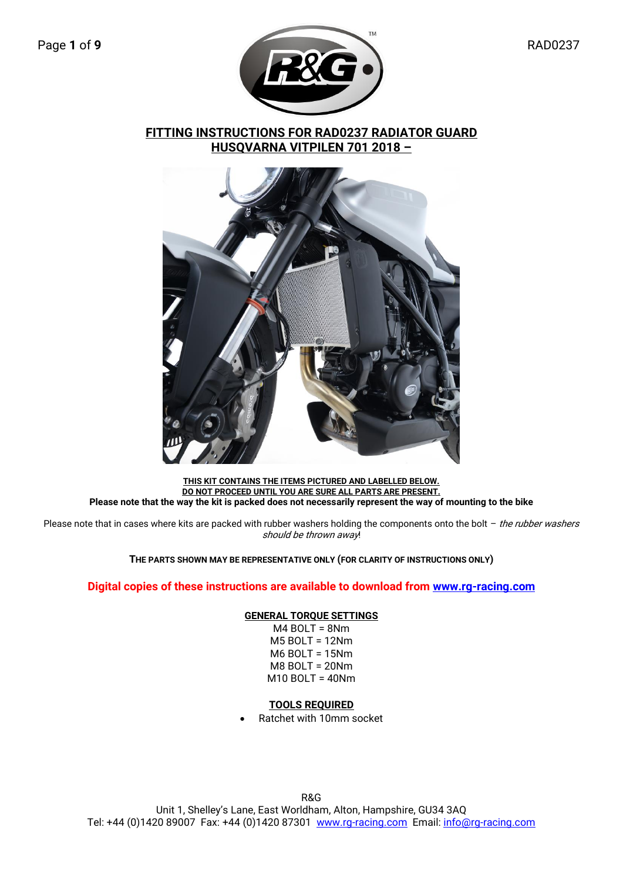

**FITTING INSTRUCTIONS FOR RAD0237 RADIATOR GUARD HUSQVARNA VITPILEN 701 2018 –**



**THIS KIT CONTAINS THE ITEMS PICTURED AND LABELLED BELOW. DO NOT PROCEED UNTIL YOU ARE SURE ALL PARTS ARE PRESENT. Please note that the way the kit is packed does not necessarily represent the way of mounting to the bike**

Please note that in cases where kits are packed with rubber washers holding the components onto the bolt  $-$  the rubber washers should be thrown away!

**THE PARTS SHOWN MAY BE REPRESENTATIVE ONLY (FOR CLARITY OF INSTRUCTIONS ONLY)**

### **Digital copies of these instructions are available to download from [www.rg-racing.com](http://www.rg-racing.com/)**

### **GENERAL TORQUE SETTINGS**

M4 BOLT = 8Nm M5 BOLT = 12Nm M6 BOLT = 15Nm M8 BOLT = 20Nm M10 BOLT = 40Nm

### **TOOLS REQUIRED**

• Ratchet with 10mm socket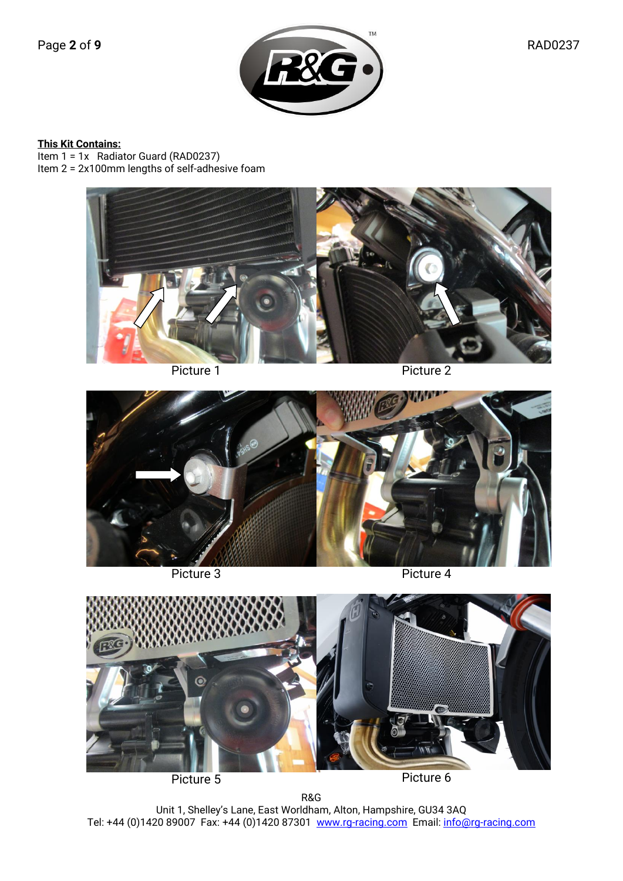### **This Kit Contains:**

Item 1 = 1x Radiator Guard (RAD0237) Item 2 = 2x100mm lengths of self-adhesive foam





Picture 3

Picture 4



Picture 5

Picture 6

R&G Unit 1, Shelley's Lane, East Worldham, Alton, Hampshire, GU34 3AQ Tel: +44 (0)1420 89007 Fax: +44 (0)1420 87301 <u>www.rg-racing.com</u> Email: <u>info@rg-racing.com</u>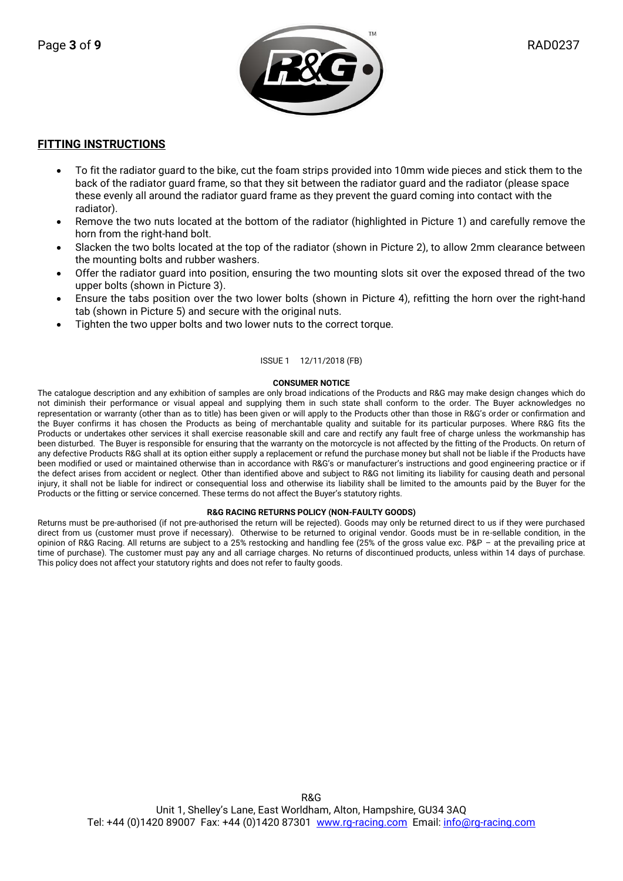

### **FITTING INSTRUCTIONS**

- To fit the radiator guard to the bike, cut the foam strips provided into 10mm wide pieces and stick them to the back of the radiator guard frame, so that they sit between the radiator guard and the radiator (please space these evenly all around the radiator guard frame as they prevent the guard coming into contact with the radiator).
- Remove the two nuts located at the bottom of the radiator (highlighted in Picture 1) and carefully remove the horn from the right-hand bolt.
- Slacken the two bolts located at the top of the radiator (shown in Picture 2), to allow 2mm clearance between the mounting bolts and rubber washers.
- Offer the radiator guard into position, ensuring the two mounting slots sit over the exposed thread of the two upper bolts (shown in Picture 3).
- Ensure the tabs position over the two lower bolts (shown in Picture 4), refitting the horn over the right-hand tab (shown in Picture 5) and secure with the original nuts.
- Tighten the two upper bolts and two lower nuts to the correct torque.

### ISSUE 1 12/11/2018 (FB)

#### **CONSUMER NOTICE**

The catalogue description and any exhibition of samples are only broad indications of the Products and R&G may make design changes which do not diminish their performance or visual appeal and supplying them in such state shall conform to the order. The Buyer acknowledges no representation or warranty (other than as to title) has been given or will apply to the Products other than those in R&G's order or confirmation and the Buyer confirms it has chosen the Products as being of merchantable quality and suitable for its particular purposes. Where R&G fits the Products or undertakes other services it shall exercise reasonable skill and care and rectify any fault free of charge unless the workmanship has been disturbed. The Buyer is responsible for ensuring that the warranty on the motorcycle is not affected by the fitting of the Products. On return of any defective Products R&G shall at its option either supply a replacement or refund the purchase money but shall not be liable if the Products have been modified or used or maintained otherwise than in accordance with R&G's or manufacturer's instructions and good engineering practice or if the defect arises from accident or neglect. Other than identified above and subject to R&G not limiting its liability for causing death and personal injury, it shall not be liable for indirect or consequential loss and otherwise its liability shall be limited to the amounts paid by the Buyer for the Products or the fitting or service concerned. These terms do not affect the Buyer's statutory rights.

#### **R&G RACING RETURNS POLICY (NON-FAULTY GOODS)**

Returns must be pre-authorised (if not pre-authorised the return will be rejected). Goods may only be returned direct to us if they were purchased direct from us (customer must prove if necessary). Otherwise to be returned to original vendor. Goods must be in re-sellable condition, in the opinion of R&G Racing. All returns are subject to a 25% restocking and handling fee (25% of the gross value exc. P&P – at the prevailing price at time of purchase). The customer must pay any and all carriage charges. No returns of discontinued products, unless within 14 days of purchase. This policy does not affect your statutory rights and does not refer to faulty goods.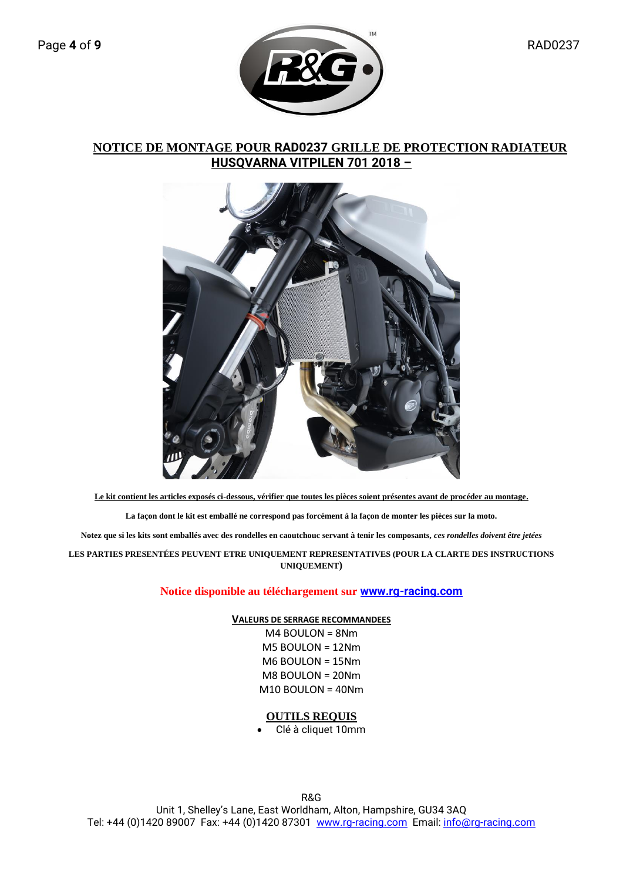

# **NOTICE DE MONTAGE POUR RAD0237 GRILLE DE PROTECTION RADIATEUR HUSQVARNA VITPILEN 701 2018 –**



**Le kit contient les articles exposés ci-dessous, vérifier que toutes les pièces soient présentes avant de procéder au montage.**

**La façon dont le kit est emballé ne correspond pas forcément à la façon de monter les pièces sur la moto.**

**Notez que si les kits sont emballés avec des rondelles en caoutchouc servant à tenir les composants,** *ces rondelles doivent être jetées*

**LES PARTIES PRESENTÉES PEUVENT ETRE UNIQUEMENT REPRESENTATIVES (POUR LA CLARTE DES INSTRUCTIONS UNIQUEMENT)**

**Notice disponible au téléchargement sur [www.rg-racing.com](http://www.rg-racing.com/)**

**VALEURS DE SERRAGE RECOMMANDEES**

M4 BOULON = 8Nm M5 BOULON = 12Nm M6 BOULON = 15Nm M8 BOULON = 20Nm M10 BOULON = 40Nm

## **OUTILS REQUIS**

• Clé à cliquet 10mm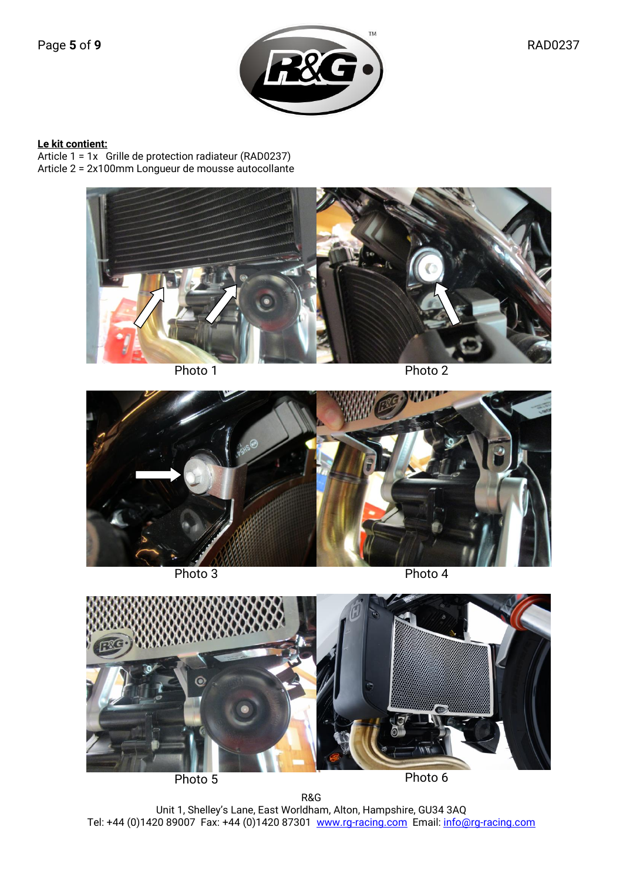### **Le kit contient:**

Article 1 = 1x Grille de protection radiateur (RAD0237) Article 2 = 2x100mm Longueur de mousse autocollante





Photo 3

Photo 4



Photo 5

Photo 6

R&G Unit 1, Shelley's Lane, East Worldham, Alton, Hampshire, GU34 3AQ Tel: +44 (0)1420 89007 Fax: +44 (0)1420 87301 <u>www.rg-racing.com</u> Email: <u>info@rg-racing.com</u>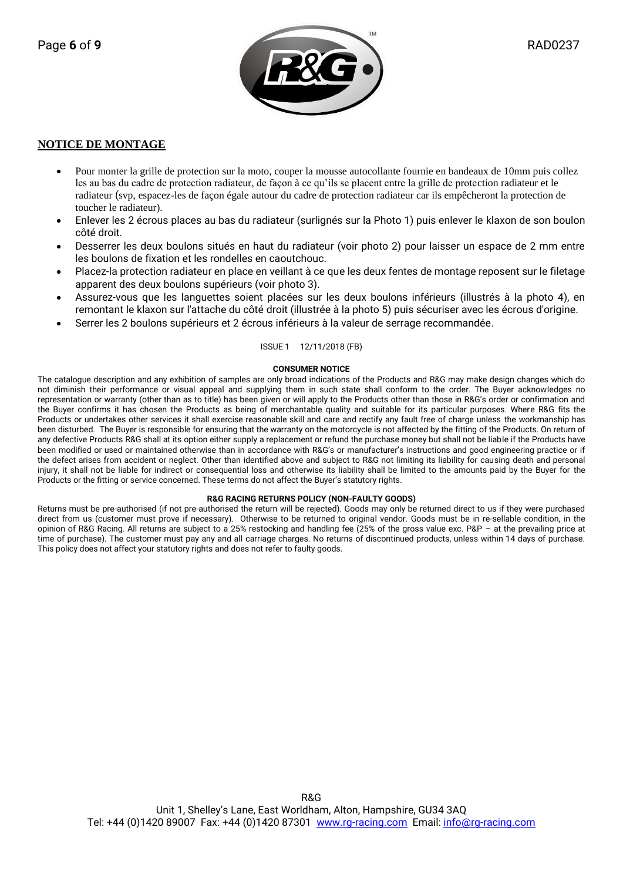

### **NOTICE DE MONTAGE**

- Pour monter la grille de protection sur la moto, couper la mousse autocollante fournie en bandeaux de 10mm puis collez les au bas du cadre de protection radiateur, de façon à ce qu'ils se placent entre la grille de protection radiateur et le radiateur (svp, espacez-les de façon égale autour du cadre de protection radiateur car ils empêcheront la protection de toucher le radiateur).
- Enlever les 2 écrous places au bas du radiateur (surlignés sur la Photo 1) puis enlever le klaxon de son boulon côté droit.
- Desserrer les deux boulons situés en haut du radiateur (voir photo 2) pour laisser un espace de 2 mm entre les boulons de fixation et les rondelles en caoutchouc.
- Placez-la protection radiateur en place en veillant à ce que les deux fentes de montage reposent sur le filetage apparent des deux boulons supérieurs (voir photo 3).
- Assurez-vous que les languettes soient placées sur les deux boulons inférieurs (illustrés à la photo 4), en remontant le klaxon sur l'attache du côté droit (illustrée à la photo 5) puis sécuriser avec les écrous d'origine.
- Serrer les 2 boulons supérieurs et 2 écrous inférieurs à la valeur de serrage recommandée.

#### ISSUE 1 12/11/2018 (FB)

#### **CONSUMER NOTICE**

The catalogue description and any exhibition of samples are only broad indications of the Products and R&G may make design changes which do not diminish their performance or visual appeal and supplying them in such state shall conform to the order. The Buyer acknowledges no representation or warranty (other than as to title) has been given or will apply to the Products other than those in R&G's order or confirmation and the Buyer confirms it has chosen the Products as being of merchantable quality and suitable for its particular purposes. Where R&G fits the Products or undertakes other services it shall exercise reasonable skill and care and rectify any fault free of charge unless the workmanship has been disturbed. The Buyer is responsible for ensuring that the warranty on the motorcycle is not affected by the fitting of the Products. On return of any defective Products R&G shall at its option either supply a replacement or refund the purchase money but shall not be liable if the Products have been modified or used or maintained otherwise than in accordance with R&G's or manufacturer's instructions and good engineering practice or if the defect arises from accident or neglect. Other than identified above and subject to R&G not limiting its liability for causing death and personal injury, it shall not be liable for indirect or consequential loss and otherwise its liability shall be limited to the amounts paid by the Buyer for the Products or the fitting or service concerned. These terms do not affect the Buyer's statutory rights.

#### **R&G RACING RETURNS POLICY (NON-FAULTY GOODS)**

Returns must be pre-authorised (if not pre-authorised the return will be rejected). Goods may only be returned direct to us if they were purchased direct from us (customer must prove if necessary). Otherwise to be returned to original vendor. Goods must be in re-sellable condition, in the opinion of R&G Racing. All returns are subject to a 25% restocking and handling fee (25% of the gross value exc. P&P – at the prevailing price at time of purchase). The customer must pay any and all carriage charges. No returns of discontinued products, unless within 14 days of purchase. This policy does not affect your statutory rights and does not refer to faulty goods.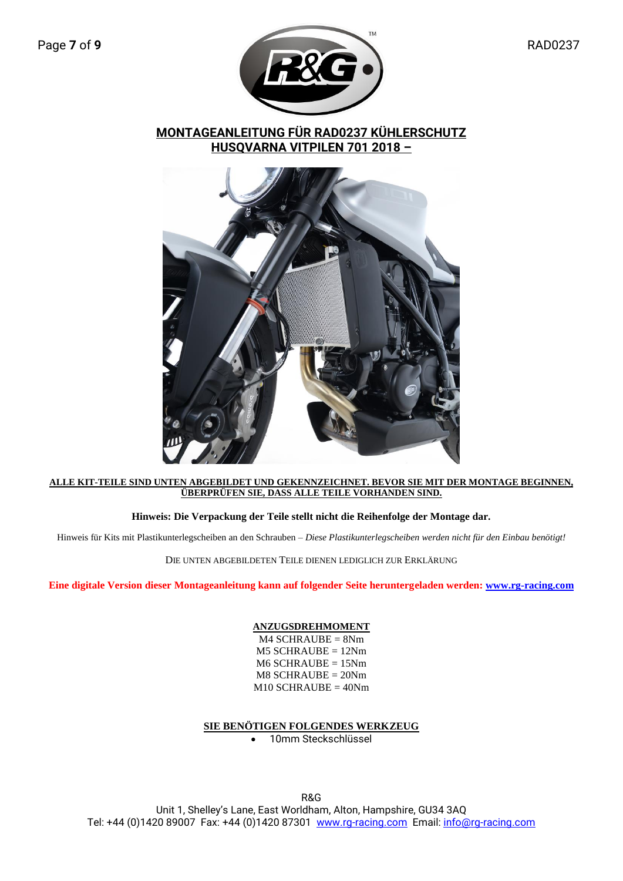

**MONTAGEANLEITUNG FÜR RAD0237 KÜHLERSCHUTZ HUSQVARNA VITPILEN 701 2018 –**



### **ALLE KIT-TEILE SIND UNTEN ABGEBILDET UND GEKENNZEICHNET. BEVOR SIE MIT DER MONTAGE BEGINNEN, ÜBERPRÜFEN SIE, DASS ALLE TEILE VORHANDEN SIND.**

## **Hinweis: Die Verpackung der Teile stellt nicht die Reihenfolge der Montage dar.**

Hinweis für Kits mit Plastikunterlegscheiben an den Schrauben – *Diese Plastikunterlegscheiben werden nicht für den Einbau benötigt!*

DIE UNTEN ABGEBILDETEN TEILE DIENEN LEDIGLICH ZUR ERKLÄRUNG

**Eine digitale Version dieser Montageanleitung kann auf folgender Seite heruntergeladen werden: [www.rg-racing.com](http://www.rg-racing.com/)**

### **ANZUGSDREHMOMENT**

M4 SCHRAUBE = 8Nm M5 SCHRAUBE = 12Nm M6 SCHRAUBE = 15Nm M8 SCHRAUBE = 20Nm M10 SCHRAUBE = 40Nm

## **SIE BENÖTIGEN FOLGENDES WERKZEUG**

• 10mm Steckschlüssel

R&G Unit 1, Shelley's Lane, East Worldham, Alton, Hampshire, GU34 3AQ Tel: +44 (0)1420 89007 Fax: +44 (0)1420 87301 [www.rg-racing.com](http://www.rg-racing.com/) Email: [info@rg-racing.com](mailto:info@rg-racing.com)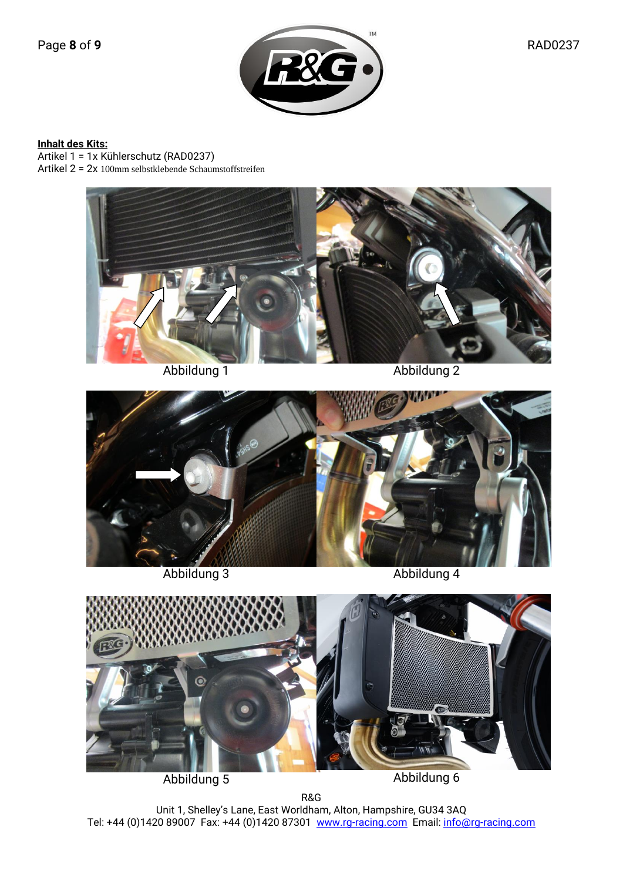**Inhalt des Kits:** Artikel 1 = 1x Kühlerschutz (RAD0237)

Artikel 2 = 2x 100mm selbstklebende Schaumstoffstreifen





Abbildung 3

Abbildung 4



Abbildung 5

Abbildung 6

R&G Unit 1, Shelley's Lane, East Worldham, Alton, Hampshire, GU34 3AQ Tel: +44 (0)1420 89007 Fax: +44 (0)1420 87301 <u>www.rg-racing.com</u> Email: <u>info@rg-racing.com</u>